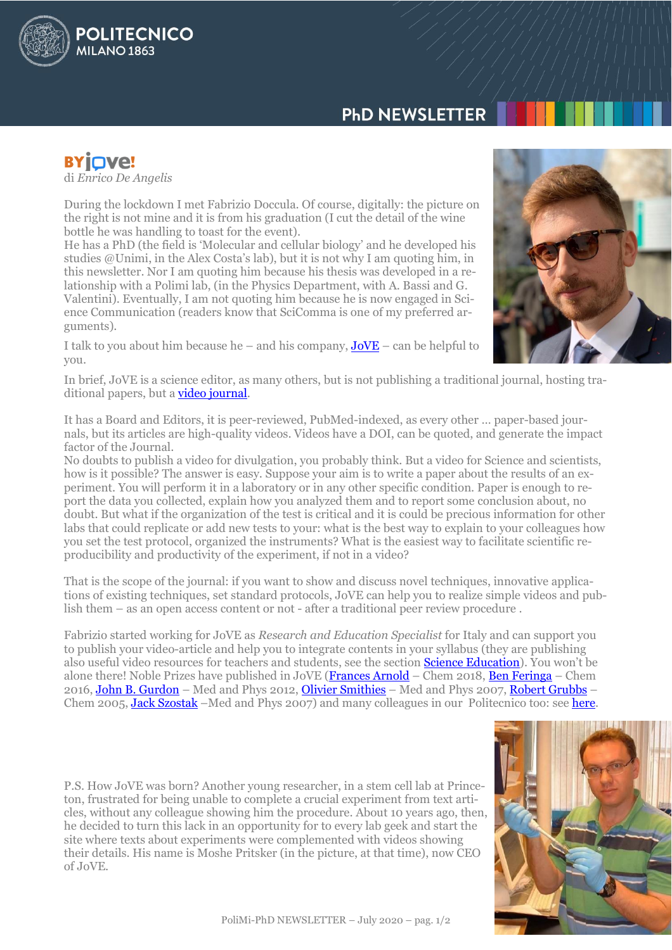# **PHD NEWSLETTER**

**BYIOVe!** di *[Enrico De](http://www.jove.com/) Angelis*

POLITECNICO

**MILANO 1863** 

During the lockdown I met Fabrizio Doccula. Of course, digitally: the picture on the right is not mine and it is from his graduation (I cut the detail of the wine bottle he was handling to toast for the event).

He has a PhD (the field is 'Molecular and cellular biology' and he developed his studies @Unimi, in the Alex Costa's lab), but it is not why I am quoting him, in this newsletter. Nor I am quoting him because his thesis was developed in a relationship with a Polimi lab, (in the Physics Department, with A. Bassi and G. Valentini). Eventually, I am not quoting him because he is now engaged in Science Communication (readers know that SciComma is one of my preferred arguments).

I talk to you about him because he – and his company,  $JoVE$  – can be helpful to you.



In brief, JoVE is a science editor, as many others, but is not publishing a traditional journal, hosting traditional papers, but a **video journal**.

It has a Board and Editors, it is peer-reviewed, PubMed-indexed, as every other … paper-based journals, but its articles are high-quality videos. Videos have a DOI, can be quoted, and generate the impact factor of the Journal.

No doubts to publish a video for divulgation, you probably think. But a video for Science and scientists, how is it possible? The answer is easy. Suppose your aim is to write a paper about the results of an experiment. You will perform it in a laboratory or in any other specific condition. Paper is enough to report the data you collected, explain how you analyzed them and to report some conclusion about, no doubt. But what if the organization of the test is critical and it is could be precious information for other labs that could replicate or add new tests to your: what is the best way to explain to your colleagues how you set the test protocol, organized the instruments? What is the easiest way to facilitate scientific reproducibility and productivity of the experiment, if not in a video?

That is the scope of the journal: if you want to show and discuss novel techniques, innovative applications of existing techniques, set standard protocols, JoVE can help you to realize simple videos and publish them – as an open access content or not - after a traditional peer review procedure .

Fabrizio started working for JoVE as *Research and Education Specialist* for Italy and can support you to publish your video-article and help you to integrate contents in your syllabus (they are publishing also useful video resources for teachers and students, see the section [Science Education\)](https://www.jove.com/science-education-library). You won't be alone there! Noble Prizes have published in JoVE [\(Frances Arnold](https://www.jove.com/video/2942/high-throughput-screening-fungal-endoglucanase-activity-escherichia) – Chem 2018, [Ben Feringa](https://www.jove.com/video/58750/light-driven-molecular-motors-on-surfaces-for-single-molecular-imaging) – Chem 2016, [John B. Gurdon](https://www.jove.com/video/52496/manipulation-vitro-maturation-xenopus-laevis-oocytes-followed) – Med and Phys 2012, [Olivier Smithies](https://www.jove.com/video/53388/a-simple-method-for-size-controlled-synthesis-stable-oligomeric) – Med and Phys 2007, [Robert Grubbs](https://www.jove.com/video/52355/an-vitro-enzymatic-assay-to-measure-transcription-inhibition-gallium) – Chem 2005, [Jack Szostak](https://www.jove.com/video/57324/preparation-purification-and-use-of-fatty-acid-containing-liposomes) –Med and Phys 2007) and many colleagues in our Politecnico too: see [here.](https://www.jove.com/search?q=polimi&filter_type_1=and&filter_val_1=&filter_type_2=and&filter_val_2=&filter_type_3=not&filter_val_3=&authors=&from=&to=&exclude_sections=&exclude_series=&list=)

P.S. How JoVE was born? Another young researcher, in a stem cell lab at Princeton, frustrated for being unable to complete a crucial experiment from text articles, without any colleague showing him the procedure. About 10 years ago, then, he decided to turn this lack in an opportunity for to every lab geek and start the site where texts about experiments were complemented with videos showing their details. His name is Moshe Pritsker (in the picture, at that time), now CEO of JoVE.